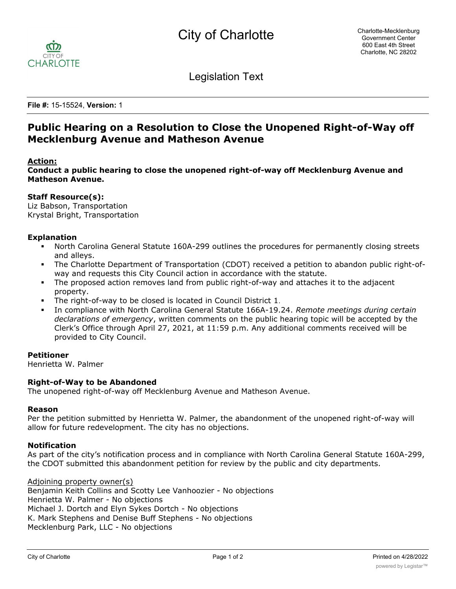

Legislation Text

**File #:** 15-15524, **Version:** 1

# **Public Hearing on a Resolution to Close the Unopened Right-of-Way off Mecklenburg Avenue and Matheson Avenue**

# **Action:**

**Conduct a public hearing to close the unopened right-of-way off Mecklenburg Avenue and Matheson Avenue.**

## **Staff Resource(s):**

Liz Babson, Transportation Krystal Bright, Transportation

## **Explanation**

- North Carolina General Statute 160A-299 outlines the procedures for permanently closing streets and alleys.
- § The Charlotte Department of Transportation (CDOT) received a petition to abandon public right-ofway and requests this City Council action in accordance with the statute.
- The proposed action removes land from public right-of-way and attaches it to the adjacent property.
- The right-of-way to be closed is located in Council District 1.
- § In compliance with North Carolina General Statute 166A-19.24. *Remote meetings during certain declarations of emergency*, written comments on the public hearing topic will be accepted by the Clerk's Office through April 27, 2021, at 11:59 p.m. Any additional comments received will be provided to City Council.

#### **Petitioner**

Henrietta W. Palmer

#### **Right-of-Way to be Abandoned**

The unopened right-of-way off Mecklenburg Avenue and Matheson Avenue.

#### **Reason**

Per the petition submitted by Henrietta W. Palmer, the abandonment of the unopened right-of-way will allow for future redevelopment. The city has no objections.

#### **Notification**

As part of the city's notification process and in compliance with North Carolina General Statute 160A-299, the CDOT submitted this abandonment petition for review by the public and city departments.

#### Adjoining property owner(s)

Benjamin Keith Collins and Scotty Lee Vanhoozier - No objections Henrietta W. Palmer - No objections Michael J. Dortch and Elyn Sykes Dortch - No objections K. Mark Stephens and Denise Buff Stephens - No objections Mecklenburg Park, LLC - No objections